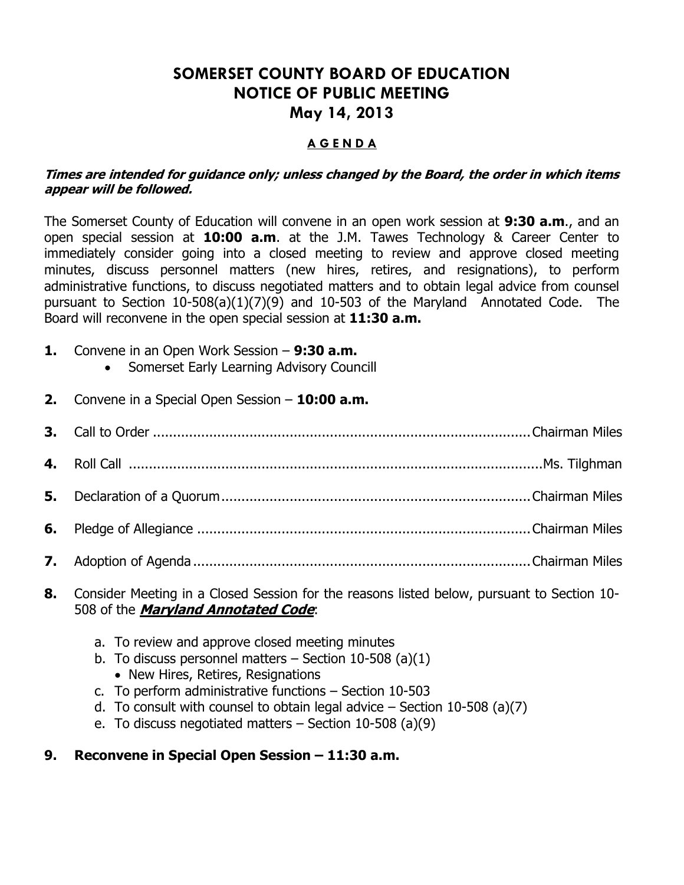# **SOMERSET COUNTY BOARD OF EDUCATION NOTICE OF PUBLIC MEETING May 14, 2013**

#### **A G E N D A**

#### **Times are intended for guidance only; unless changed by the Board, the order in which items appear will be followed.**

The Somerset County of Education will convene in an open work session at **9:30 a.m**., and an open special session at **10:00 a.m**. at the J.M. Tawes Technology & Career Center to immediately consider going into a closed meeting to review and approve closed meeting minutes, discuss personnel matters (new hires, retires, and resignations), to perform administrative functions, to discuss negotiated matters and to obtain legal advice from counsel pursuant to Section 10-508(a)(1)(7)(9) and 10-503 of the Maryland Annotated Code. The Board will reconvene in the open special session at **11:30 a.m.**

- **1.** Convene in an Open Work Session **9:30 a.m.**
	- Somerset Early Learning Advisory Councill
- **2.** Convene in a Special Open Session **10:00 a.m.**
- **3.** Call to Order ..............................................................................................Chairman Miles
- **4.** Roll Call .......................................................................................................Ms. Tilghman
- **5.** Declaration of a Quorum.............................................................................Chairman Miles
- **6.** Pledge of Allegiance ...................................................................................Chairman Miles
- **7.** Adoption of Agenda ....................................................................................Chairman Miles
- **8.** Consider Meeting in a Closed Session for the reasons listed below, pursuant to Section 10- 508 of the **Maryland Annotated Code**:
	- a. To review and approve closed meeting minutes
	- b. To discuss personnel matters  $-$  Section 10-508 (a)(1)
		- New Hires, Retires, Resignations
	- c. To perform administrative functions Section 10-503
	- d. To consult with counsel to obtain legal advice  $-$  Section 10-508 (a)(7)
	- e. To discuss negotiated matters Section 10-508 (a)(9)

### **9. Reconvene in Special Open Session – 11:30 a.m.**